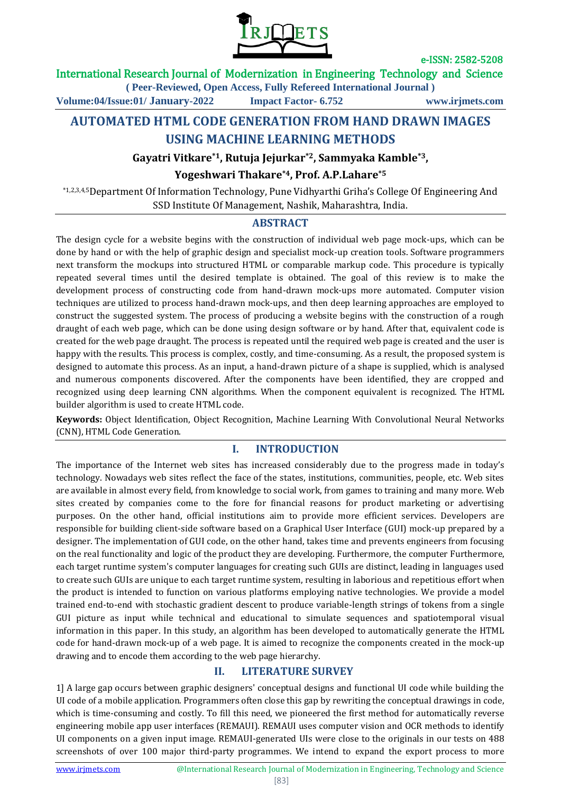

## International Research Journal of Modernization in Engineering Technology and Science

**( Peer-Reviewed, Open Access, Fully Refereed International Journal )**

**Volume:04/Issue:01/ January-2022 Impact Factor- 6.752 www.irjmets.com**

# **AUTOMATED HTML CODE GENERATION FROM HAND DRAWN IMAGES USING MACHINE LEARNING METHODS**

## **Gayatri Vitkare\*1, Rutuja Jejurkar\*2, Sammyaka Kamble\*3,**

## **Yogeshwari Thakare\*4, Prof. A.P.Lahare\*5**

\*1,2,3,4,5Department Of Information Technology, Pune Vidhyarthi Griha's College Of Engineering And SSD Institute Of Management, Nashik, Maharashtra, India.

## **ABSTRACT**

The design cycle for a website begins with the construction of individual web page mock-ups, which can be done by hand or with the help of graphic design and specialist mock-up creation tools. Software programmers next transform the mockups into structured HTML or comparable markup code. This procedure is typically repeated several times until the desired template is obtained. The goal of this review is to make the development process of constructing code from hand-drawn mock-ups more automated. Computer vision techniques are utilized to process hand-drawn mock-ups, and then deep learning approaches are employed to construct the suggested system. The process of producing a website begins with the construction of a rough draught of each web page, which can be done using design software or by hand. After that, equivalent code is created for the web page draught. The process is repeated until the required web page is created and the user is happy with the results. This process is complex, costly, and time-consuming. As a result, the proposed system is designed to automate this process. As an input, a hand-drawn picture of a shape is supplied, which is analysed and numerous components discovered. After the components have been identified, they are cropped and recognized using deep learning CNN algorithms. When the component equivalent is recognized. The HTML builder algorithm is used to create HTML code.

**Keywords:** Object Identification, Object Recognition, Machine Learning With Convolutional Neural Networks (CNN), HTML Code Generation.

## **I. INTRODUCTION**

The importance of the Internet web sites has increased considerably due to the progress made in today's technology. Nowadays web sites reflect the face of the states, institutions, communities, people, etc. Web sites are available in almost every field, from knowledge to social work, from games to training and many more. Web sites created by companies come to the fore for financial reasons for product marketing or advertising purposes. On the other hand, official institutions aim to provide more efficient services. Developers are responsible for building client-side software based on a Graphical User Interface (GUI) mock-up prepared by a designer. The implementation of GUI code, on the other hand, takes time and prevents engineers from focusing on the real functionality and logic of the product they are developing. Furthermore, the computer Furthermore, each target runtime system's computer languages for creating such GUIs are distinct, leading in languages used to create such GUIs are unique to each target runtime system, resulting in laborious and repetitious effort when the product is intended to function on various platforms employing native technologies. We provide a model trained end-to-end with stochastic gradient descent to produce variable-length strings of tokens from a single GUI picture as input while technical and educational to simulate sequences and spatiotemporal visual information in this paper. In this study, an algorithm has been developed to automatically generate the HTML code for hand-drawn mock-up of a web page. It is aimed to recognize the components created in the mock-up drawing and to encode them according to the web page hierarchy.

# **II. LITERATURE SURVEY**

1] A large gap occurs between graphic designers' conceptual designs and functional UI code while building the UI code of a mobile application. Programmers often close this gap by rewriting the conceptual drawings in code, which is time-consuming and costly. To fill this need, we pioneered the first method for automatically reverse engineering mobile app user interfaces (REMAUI). REMAUI uses computer vision and OCR methods to identify UI components on a given input image. REMAUI-generated UIs were close to the originals in our tests on 488 screenshots of over 100 major third-party programmes. We intend to expand the export process to more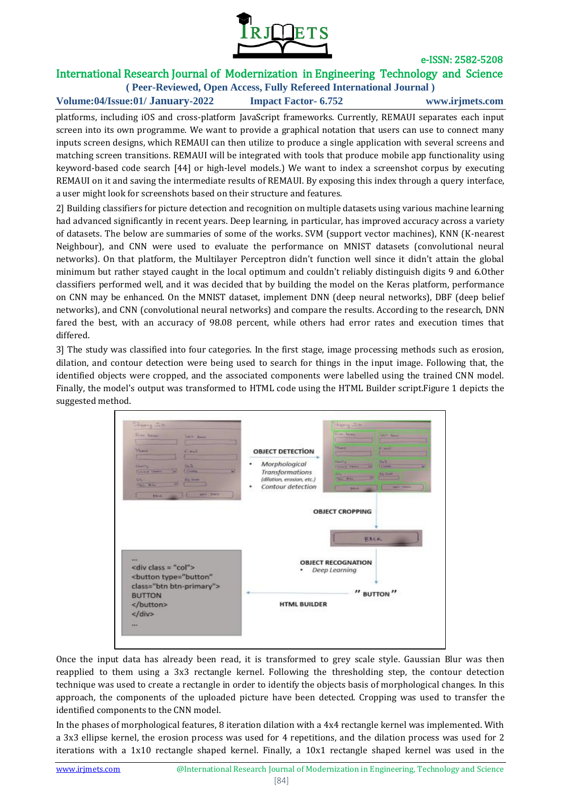

# International Research Journal of Modernization in Engineering Technology and Science

**( Peer-Reviewed, Open Access, Fully Refereed International Journal ) Volume:04/Issue:01/ January-2022 Impact Factor- 6.752 www.irjmets.com**

platforms, including iOS and cross-platform JavaScript frameworks. Currently, REMAUI separates each input screen into its own programme. We want to provide a graphical notation that users can use to connect many inputs screen designs, which REMAUI can then utilize to produce a single application with several screens and matching screen transitions. REMAUI will be integrated with tools that produce mobile app functionality using keyword-based code search [44] or high-level models.) We want to index a screenshot corpus by executing REMAUI on it and saving the intermediate results of REMAUI. By exposing this index through a query interface, a user might look for screenshots based on their structure and features.

2] Building classifiers for picture detection and recognition on multiple datasets using various machine learning had advanced significantly in recent years. Deep learning, in particular, has improved accuracy across a variety of datasets. The below are summaries of some of the works. SVM (support vector machines), KNN (K-nearest Neighbour), and CNN were used to evaluate the performance on MNIST datasets (convolutional neural networks). On that platform, the Multilayer Perceptron didn't function well since it didn't attain the global minimum but rather stayed caught in the local optimum and couldn't reliably distinguish digits 9 and 6.Other classifiers performed well, and it was decided that by building the model on the Keras platform, performance on CNN may be enhanced. On the MNIST dataset, implement DNN (deep neural networks), DBF (deep belief networks), and CNN (convolutional neural networks) and compare the results. According to the research, DNN fared the best, with an accuracy of 98.08 percent, while others had error rates and execution times that differed.

3] The study was classified into four categories. In the first stage, image processing methods such as erosion, dilation, and contour detection were being used to search for things in the input image. Following that, the identified objects were cropped, and the associated components were labelled using the trained CNN model. Finally, the model's output was transformed to HTML code using the HTML Builder script.Figure 1 depicts the suggested method.



Once the input data has already been read, it is transformed to grey scale style. Gaussian Blur was then reapplied to them using a 3x3 rectangle kernel. Following the thresholding step, the contour detection technique was used to create a rectangle in order to identify the objects basis of morphological changes. In this approach, the components of the uploaded picture have been detected. Cropping was used to transfer the identified components to the CNN model.

In the phases of morphological features, 8 iteration dilation with a 4x4 rectangle kernel was implemented. With a 3x3 ellipse kernel, the erosion process was used for 4 repetitions, and the dilation process was used for 2 iterations with a 1x10 rectangle shaped kernel. Finally, a 10x1 rectangle shaped kernel was used in the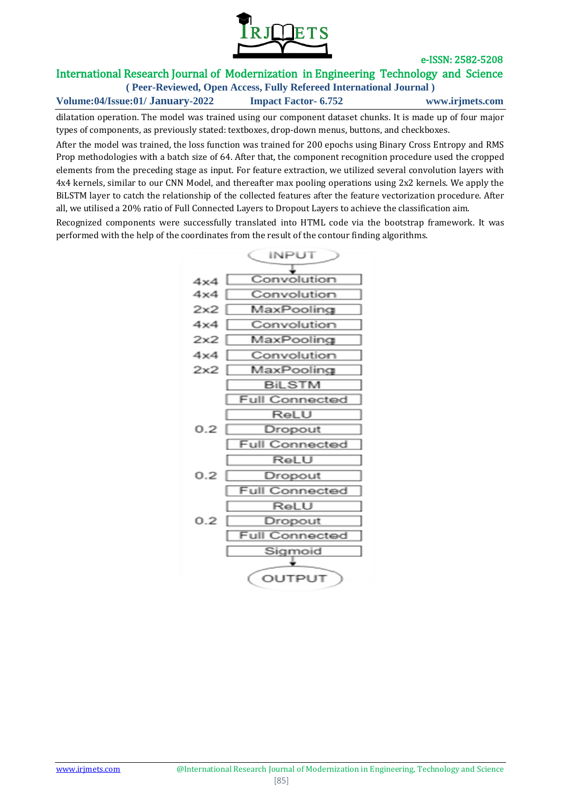

# International Research Journal of Modernization in Engineering Technology and Science

**( Peer-Reviewed, Open Access, Fully Refereed International Journal ) Volume:04/Issue:01/ January-2022 Impact Factor- 6.752 www.irjmets.com**

dilatation operation. The model was trained using our component dataset chunks. It is made up of four major types of components, as previously stated: textboxes, drop-down menus, buttons, and checkboxes.

After the model was trained, the loss function was trained for 200 epochs using Binary Cross Entropy and RMS Prop methodologies with a batch size of 64. After that, the component recognition procedure used the cropped elements from the preceding stage as input. For feature extraction, we utilized several convolution layers with 4x4 kernels, similar to our CNN Model, and thereafter max pooling operations using 2x2 kernels. We apply the BiLSTM layer to catch the relationship of the collected features after the feature vectorization procedure. After all, we utilised a 20% ratio of Full Connected Layers to Dropout Layers to achieve the classification aim.

Recognized components were successfully translated into HTML code via the bootstrap framework. It was performed with the help of the coordinates from the result of the contour finding algorithms.

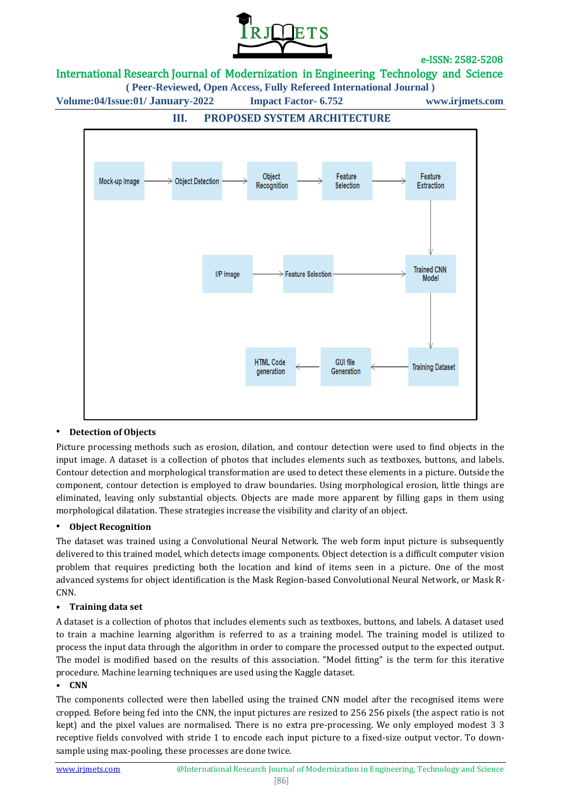

# International Research Journal of Modernization in Engineering Technology and Science

**( Peer-Reviewed, Open Access, Fully Refereed International Journal )**

**Volume:04/Issue:01/ January-2022 Impact Factor- 6.752 www.irjmets.com**



# **III. PROPOSED SYSTEM ARCHITECTURE**

## • **Detection of Objects**

Picture processing methods such as erosion, dilation, and contour detection were used to find objects in the input image. A dataset is a collection of photos that includes elements such as textboxes, buttons, and labels. Contour detection and morphological transformation are used to detect these elements in a picture. Outside the component, contour detection is employed to draw boundaries. Using morphological erosion, little things are eliminated, leaving only substantial objects. Objects are made more apparent by filling gaps in them using morphological dilatation. These strategies increase the visibility and clarity of an object.

## • **Object Recognition**

The dataset was trained using a Convolutional Neural Network. The web form input picture is subsequently delivered to this trained model, which detects image components. Object detection is a difficult computer vision problem that requires predicting both the location and kind of items seen in a picture. One of the most advanced systems for object identification is the Mask Region-based Convolutional Neural Network, or Mask R-CNN.

#### • **Training data set**

A dataset is a collection of photos that includes elements such as textboxes, buttons, and labels. A dataset used to train a machine learning algorithm is referred to as a training model. The training model is utilized to process the input data through the algorithm in order to compare the processed output to the expected output. The model is modified based on the results of this association. "Model fitting" is the term for this iterative procedure. Machine learning techniques are used using the Kaggle dataset.

#### • **CNN**

The components collected were then labelled using the trained CNN model after the recognised items were cropped. Before being fed into the CNN, the input pictures are resized to 256 256 pixels (the aspect ratio is not kept) and the pixel values are normalised. There is no extra pre-processing. We only employed modest 3 3 receptive fields convolved with stride 1 to encode each input picture to a fixed-size output vector. To downsample using max-pooling, these processes are done twice.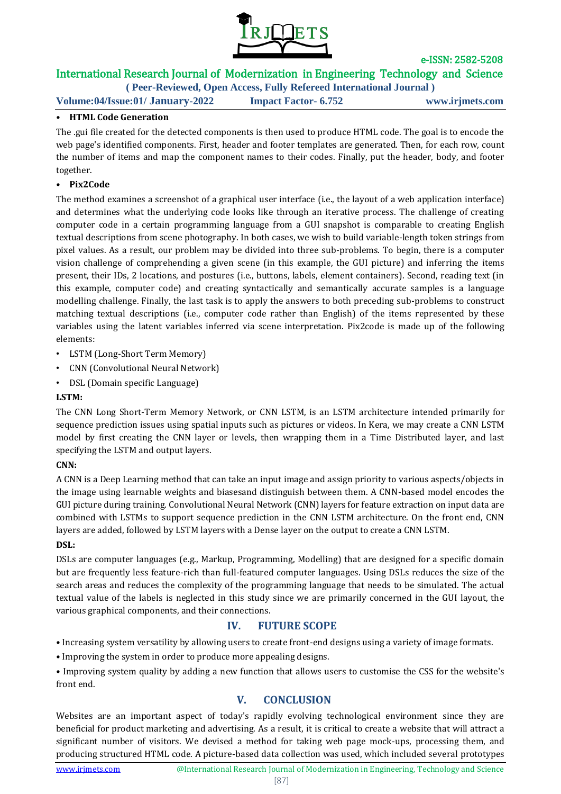

# International Research Journal of Modernization in Engineering Technology and Science

**( Peer-Reviewed, Open Access, Fully Refereed International Journal )**

**Volume:04/Issue:01/ January-2022 Impact Factor- 6.752 www.irjmets.com**

## • **HTML Code Generation**

The .gui file created for the detected components is then used to produce HTML code. The goal is to encode the web page's identified components. First, header and footer templates are generated. Then, for each row, count the number of items and map the component names to their codes. Finally, put the header, body, and footer together.

## • **Pix2Code**

The method examines a screenshot of a graphical user interface (i.e., the layout of a web application interface) and determines what the underlying code looks like through an iterative process. The challenge of creating computer code in a certain programming language from a GUI snapshot is comparable to creating English textual descriptions from scene photography. In both cases, we wish to build variable-length token strings from pixel values. As a result, our problem may be divided into three sub-problems. To begin, there is a computer vision challenge of comprehending a given scene (in this example, the GUI picture) and inferring the items present, their IDs, 2 locations, and postures (i.e., buttons, labels, element containers). Second, reading text (in this example, computer code) and creating syntactically and semantically accurate samples is a language modelling challenge. Finally, the last task is to apply the answers to both preceding sub-problems to construct matching textual descriptions (i.e., computer code rather than English) of the items represented by these variables using the latent variables inferred via scene interpretation. Pix2code is made up of the following elements:

- LSTM (Long-Short Term Memory)
- CNN (Convolutional Neural Network)
- DSL (Domain specific Language)

## **LSTM:**

The CNN Long Short-Term Memory Network, or CNN LSTM, is an LSTM architecture intended primarily for sequence prediction issues using spatial inputs such as pictures or videos. In Kera, we may create a CNN LSTM model by first creating the CNN layer or levels, then wrapping them in a Time Distributed layer, and last specifying the LSTM and output layers.

## **CNN:**

A CNN is a Deep Learning method that can take an input image and assign priority to various aspects/objects in the image using learnable weights and biasesand distinguish between them. A CNN-based model encodes the GUI picture during training. Convolutional Neural Network (CNN) layers for feature extraction on input data are combined with LSTMs to support sequence prediction in the CNN LSTM architecture. On the front end, CNN layers are added, followed by LSTM layers with a Dense layer on the output to create a CNN LSTM.

## **DSL:**

DSLs are computer languages (e.g., Markup, Programming, Modelling) that are designed for a specific domain but are frequently less feature-rich than full-featured computer languages. Using DSLs reduces the size of the search areas and reduces the complexity of the programming language that needs to be simulated. The actual textual value of the labels is neglected in this study since we are primarily concerned in the GUI layout, the various graphical components, and their connections.

# **IV. FUTURE SCOPE**

• Increasing system versatility by allowing users to create front-end designs using a variety of image formats.

• Improving the system in order to produce more appealing designs.

• Improving system quality by adding a new function that allows users to customise the CSS for the website's front end.

# **V. CONCLUSION**

Websites are an important aspect of today's rapidly evolving technological environment since they are beneficial for product marketing and advertising. As a result, it is critical to create a website that will attract a significant number of visitors. We devised a method for taking web page mock-ups, processing them, and producing structured HTML code. A picture-based data collection was used, which included several prototypes